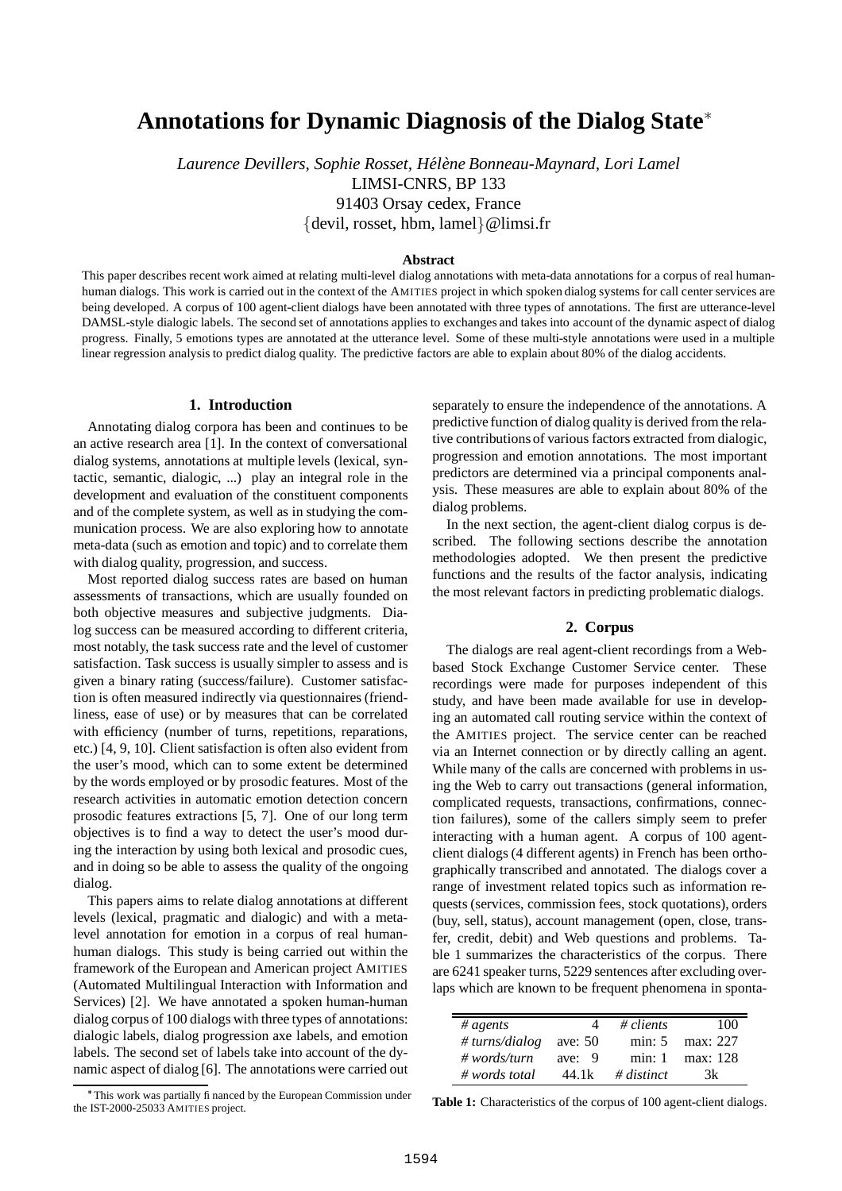# **Annotations for Dynamic Diagnosis of the Dialog State**

*Laurence Devillers, Sophie Rosset, Hel´ ene ` Bonneau-Maynard, Lori Lamel* LIMSI-CNRS, BP 133 91403 Orsay cedex, France  $\{$  devil, rosset, hbm, lamel $\}$  @limsi.fr

#### **Abstract**

This paper describes recent work aimed at relating multi-level dialog annotations with meta-data annotations for a corpus of real humanhuman dialogs. This work is carried out in the context of the AMITIES project in which spoken dialog systems for call center services are being developed. A corpus of 100 agent-client dialogs have been annotated with three types of annotations. The first are utterance-level DAMSL-style dialogic labels. The second set of annotations applies to exchanges and takes into account of the dynamic aspect of dialog progress. Finally, 5 emotions types are annotated at the utterance level. Some of these multi-style annotations were used in a multiple linear regression analysisto predict dialog quality. The predictive factors are able to explain about 80% of the dialog accidents.

#### **1. Introduction**

Annotating dialog corpora has been and continues to be an active research area [1]. In the context of conversational dialog systems, annotations at multiple levels (lexical, syntactic, semantic, dialogic, ...) play an integral role in the development and evaluation of the constituent components and of the complete system, as well as in studying the communication process. We are also exploring how to annotate meta-data (such as emotion and topic) and to correlate them with dialog quality, progression, and success.

Most reported dialog success rates are based on human assessments of transactions, which are usually founded on both objective measures and subjective judgments. Dialog success can be measured according to different criteria, most notably, the task success rate and the level of customer satisfaction. Task success is usually simpler to assess and is given a binary rating (success/failure). Customer satisfaction is often measured indirectly via questionnaires (friendliness, ease of use) or by measures that can be correlated with efficiency (number of turns, repetitions, reparations, etc.) [4, 9, 10]. Client satisfaction is often also evident from the user's mood, which can to some extent be determined by the words employed or by prosodic features. Most of the research activities in automatic emotion detection concern prosodic features extractions [5, 7]. One of our long term objectives is to find a way to detect the user's mood during the interaction by using both lexical and prosodic cues, and in doing so be able to assess the quality of the ongoing dialog.

This papers aims to relate dialog annotations at different levels (lexical, pragmatic and dialogic) and with a metalevel annotation for emotion in a corpus of real humanhuman dialogs. This study is being carried out within the framework of the European and American project AMITIES (Automated Multilingual Interaction with Information and Services) [2]. We have annotated a spoken human-human dialog corpus of 100 dialogs with three types of annotations: dialogic labels, dialog progression axe labels, and emotion labels. The second set of labels take into account of the dynamic aspect of dialog [6]. The annotations were carried out separately to ensure the independence of the annotations. A predictive function of dialog quality is derived from the relative contributions of various factors extracted from dialogic, progression and emotion annotations. The most important predictors are determined via a principal components analysis. These measures are able to explain about 80% of the dialog problems.

In the next section, the agent-client dialog corpus is described. The following sections describe the annotation methodologies adopted. We then present the predictive functions and the results of the factor analysis, indicating the most relevant factors in predicting problematic dialogs.

## **2. Corpus**

The dialogs are real agent-client recordings from a Webbased Stock Exchange Customer Service center. These recordings were made for purposes independent of this study, and have been made available for use in developing an automated call routing service within the context of the AMITIES project. The service center can be reached via an Internet connection or by directly calling an agent. While many of the calls are concerned with problems in using the Web to carry out transactions (general information, complicated requests, transactions, confirmations, connection failures), some of the callers simply seem to prefer interacting with a human agent. A corpus of 100 agentclient dialogs (4 different agents) in French has been orthographically transcribed and annotated. The dialogs cover a range of investment related topics such as information requests (services, commission fees, stock quotations), orders (buy, sell, status), account management (open, close, transfer, credit, debit) and Web questions and problems. Table 1 summarizes the characteristics of the corpus. There are 6241 speaker turns, 5229 sentences after excluding overlaps which are known to be frequent phenomena in sponta-

| # agents               |          | # $clients$ | 100      |
|------------------------|----------|-------------|----------|
| # turns/dialog ave: 50 |          | min: 5      | max: 227 |
| $\#$ words/turn        | ave: $9$ | min: 1      | max: 128 |
| $\#$ words total       | 44.1k    | # distinct  | 3k       |

**Table 1:** Characteristics of the corpus of 100 agent-client dialogs.

This work was partially financed by the European Commission under the IST-2000-25033 AMITIES project.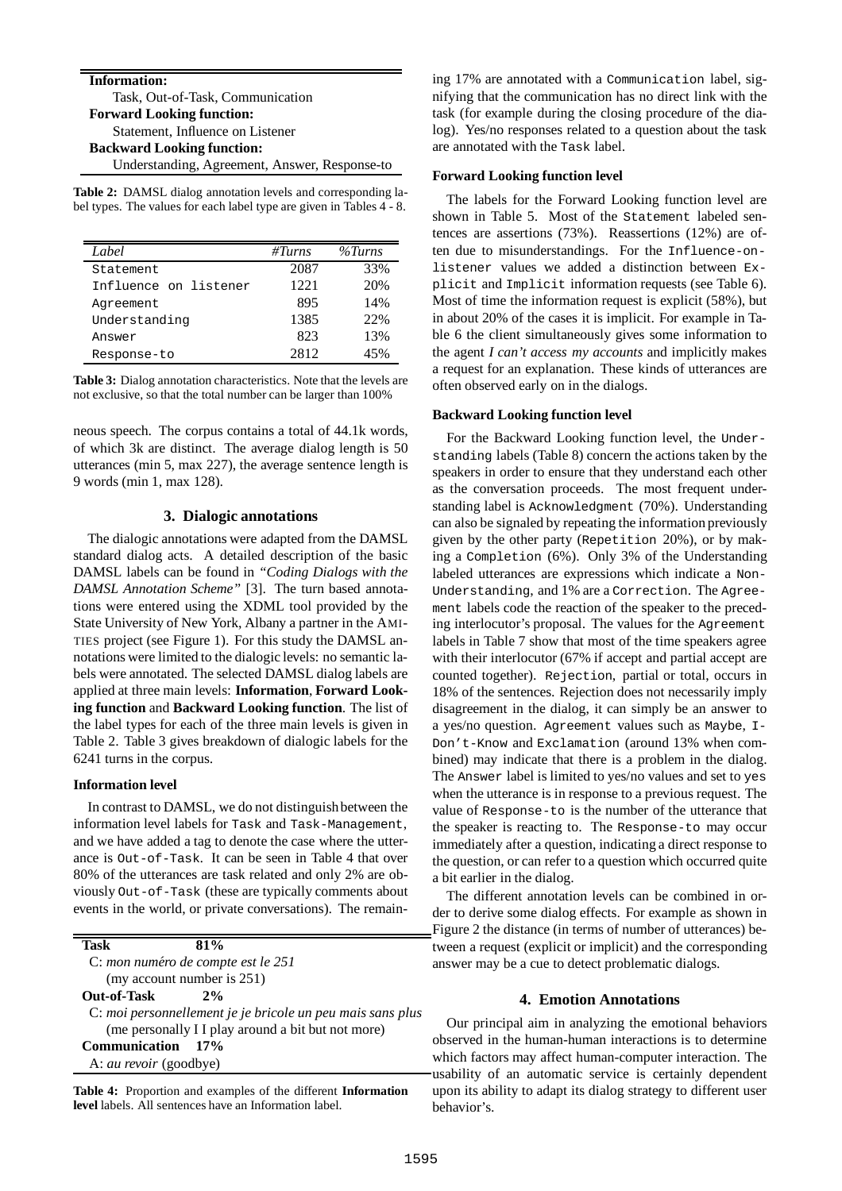**Information:** Task, Out-of-Task, Communication **Forward Looking function:** Statement, Influence on Listener **Backward Looking function:** Understanding, Agreement, Answer, Response-to

**Table 2:** DAMSL dialog annotation levels and corresponding label types. The values for each label type are given in Tables 4 - 8.

| Label                 | #Turns | $\%Turns$ |
|-----------------------|--------|-----------|
| Statement             | 2087   | 33%       |
| Influence on listener | 1221   | 20%       |
| Agreement             | 895    | 14%       |
| Understanding         | 1385   | 22%       |
| Answer                | 823    | 13%       |
| Response-to           | 2812   | 45%       |

**Table 3:** Dialog annotation characteristics. Note that the levels are not exclusive, so that the total number can be larger than 100%

neous speech. The corpus contains a total of 44.1k words, of which 3k are distinct. The average dialog length is 50 utterances (min 5, max 227), the average sentence length is 9 words (min 1, max 128).

# **3. Dialogic annotations**

The dialogic annotations were adapted from the DAMSL standard dialog acts. A detailed description of the basic DAMSL labels can be found in *"Coding Dialogs with the DAMSL Annotation Scheme"* [3]. The turn based annotations were entered using the XDML tool provided by the State University of New York, Albany a partner in the AMI-TIES project (see Figure 1). For this study the DAMSL annotations were limited to the dialogic levels: no semantic labels were annotated. The selected DAMSL dialog labels are applied at three main levels: **Information**, **Forward Looking function** and **Backward Looking function**. The list of the label types for each of the three main levels is given in Table 2. Table 3 gives breakdown of dialogic labels for the 6241 turns in the corpus.

## **Information level**

In contrast to DAMSL, we do not distinguishbetween the information level labels for Task and Task-Management, and we have added a tag to denote the case where the utterance is Out-of-Task. It can be seen in Table 4 that over 80% of the utterances are task related and only 2% are obviously Out-of-Task (these are typically comments about events in the world, or private conversations). The remain-

| Task               | 81%                                |                                                            |
|--------------------|------------------------------------|------------------------------------------------------------|
|                    | C: mon numéro de compte est le 251 |                                                            |
|                    | (my account number is 251)         |                                                            |
| <b>Out-of-Task</b> | $2\%$                              |                                                            |
|                    |                                    | C: moi personnellement je je bricole un peu mais sans plus |
|                    |                                    | (me personally I I play around a bit but not more)         |
| Communication 17%  |                                    |                                                            |
|                    | A: <i>au revoir</i> (goodbye)      |                                                            |

**Table 4:** Proportion and examples of the different **Information level** labels. All sentences have an Information label.

ing 17% are annotated with a Communication label, signifying that the communication has no direct link with the task (for example during the closing procedure of the dialog). Yes/no responses related to a question about the task are annotated with the Task label.

## **Forward Looking function level**

The labels for the Forward Looking function level are shown in Table 5. Most of the Statement labeled sentences are assertions (73%). Reassertions (12%) are often due to misunderstandings. For the Influence-onlistener values we added a distinction between Explicit and Implicit information requests (see Table 6). Most of time the information request is explicit (58%), but in about 20% of the cases it is implicit. For example in Table 6 the client simultaneously gives some information to the agent *I can't access my accounts* and implicitly makes a request for an explanation. These kinds of utterances are often observed early on in the dialogs.

## **Backward Looking function level**

For the Backward Looking function level, the Understanding labels (Table 8) concern the actions taken by the speakers in order to ensure that they understand each other as the conversation proceeds. The most frequent understanding label is Acknowledgment (70%). Understanding can also be signaled by repeating the information previously given by the other party (Repetition 20%), or by making a Completion (6%). Only 3% of the Understanding labeled utterances are expressions which indicate a Non-Understanding, and 1% are a Correction. The Agreement labels code the reaction of the speaker to the preceding interlocutor's proposal. The values for the Agreement labels in Table 7 show that most of the time speakers agree with their interlocutor (67% if accept and partial accept are counted together). Rejection, partial or total, occurs in 18% of the sentences. Rejection does not necessarily imply disagreement in the dialog, it can simply be an answer to a yes/no question. Agreement values such as Maybe, I-Don't-Know and Exclamation (around 13% when combined) may indicate that there is a problem in the dialog. The Answer label is limited to yes/no values and set to yes when the utterance is in response to a previous request. The value of Response-to is the number of the utterance that the speaker is reacting to. The Response-to may occur immediately after a question, indicating a direct response to the question, or can refer to a question which occurred quite a bit earlier in the dialog.

The different annotation levels can be combined in order to derive some dialog effects. For example as shown in Figure 2 the distance (in terms of number of utterances) between a request (explicit or implicit) and the corresponding answer may be a cue to detect problematic dialogs.

# **4. Emotion Annotations**

Our principal aim in analyzing the emotional behaviors observed in the human-human interactions is to determine which factors may affect human-computer interaction. The usability of an automatic service is certainly dependent upon its ability to adapt its dialog strategy to different user behavior's.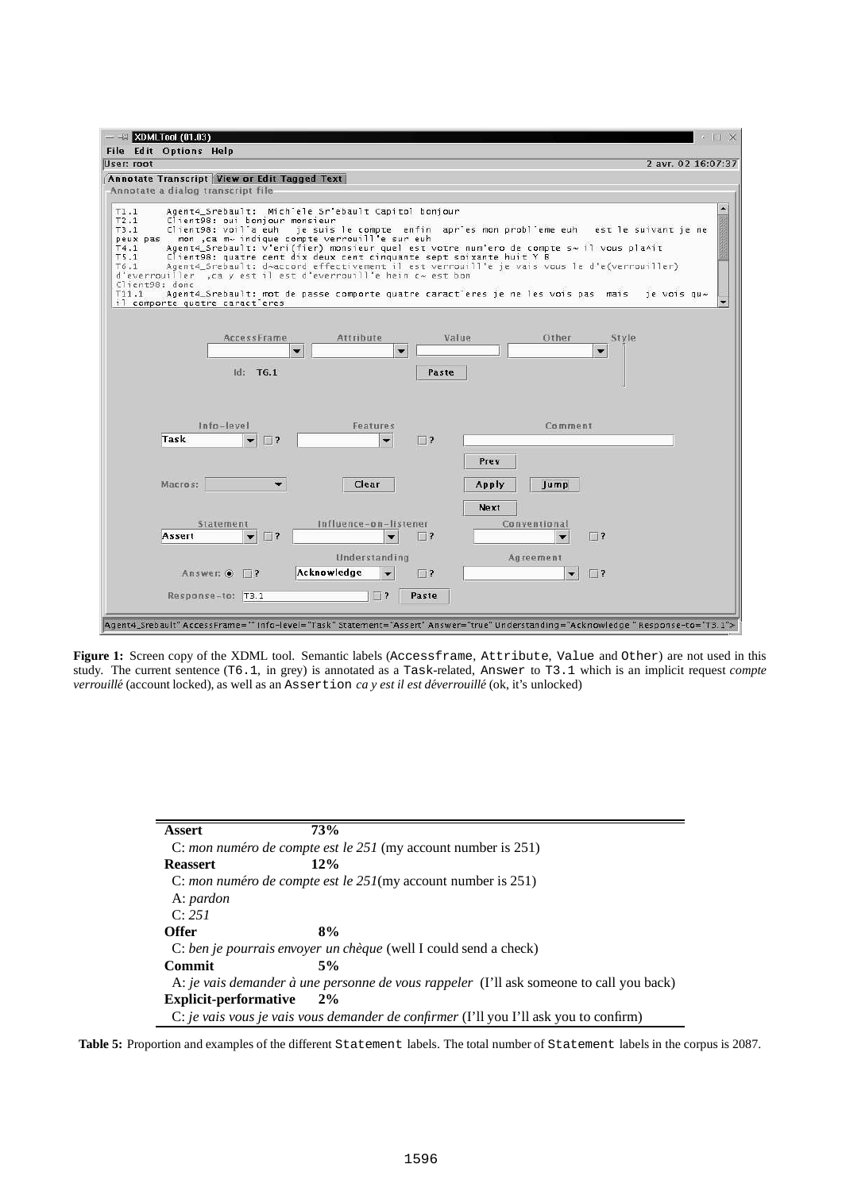

**Figure 1:** Screen copy of the XDML tool. Semantic labels (Accessframe, Attribute, Value and Other) are not used in this study. The current sentence (T6.1, in grey) is annotated as a Task-related, Answer to T3.1 which is an implicit request *compte verrouille´* (account locked), as well as an Assertion *ca y est il est de´verrouille´* (ok, it's unlocked)

| <b>Assert</b>                | 73%                                                                |                                                                                         |
|------------------------------|--------------------------------------------------------------------|-----------------------------------------------------------------------------------------|
|                              | C: mon numéro de compte est le 251 (my account number is 251)      |                                                                                         |
| <b>Reassert</b>              | 12%                                                                |                                                                                         |
|                              | C: mon numéro de compte est le $251$ (my account number is $251$ ) |                                                                                         |
| A: pardon                    |                                                                    |                                                                                         |
| C: 251                       |                                                                    |                                                                                         |
| <b>Offer</b>                 | 8%                                                                 |                                                                                         |
|                              | C: ben je pourrais envoyer un chèque (well I could send a check)   |                                                                                         |
| Commit                       | 5%                                                                 |                                                                                         |
|                              |                                                                    | A: je vais demander à une personne de vous rappeler (I'll ask someone to call you back) |
| <b>Explicit-performative</b> | $2\%$                                                              |                                                                                         |
|                              |                                                                    | C: je vais vous je vais vous demander de confirmer (I'll you I'll ask you to confirm)   |

**Table 5:** Proportion and examples of the different Statement labels. The total number of Statement labels in the corpus is 2087.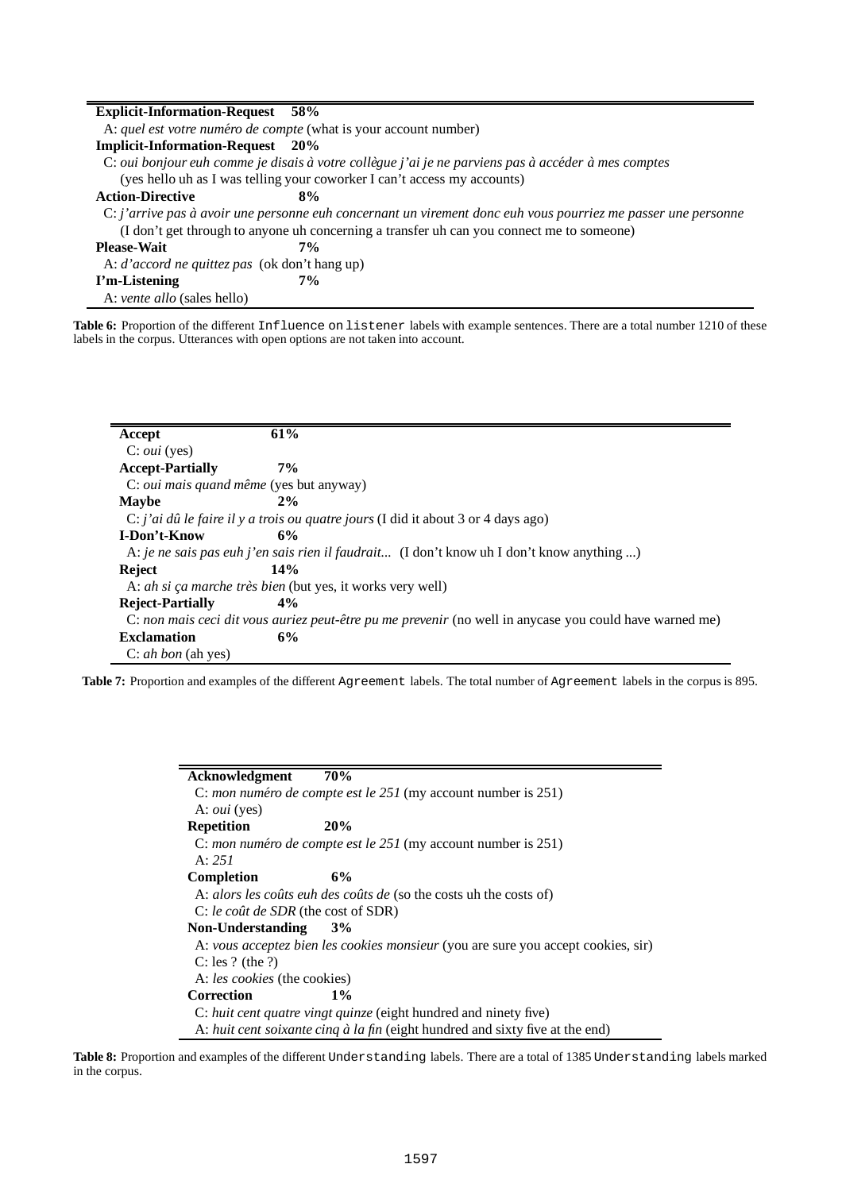| <b>Explicit-Information-Request</b> 58%                                                                       |  |
|---------------------------------------------------------------------------------------------------------------|--|
| A: quel est votre numéro de compte (what is your account number)                                              |  |
| <b>Implicit-Information-Request</b> 20%                                                                       |  |
| C: oui bonjour euh comme je disais à votre collègue j'ai je ne parviens pas à accéder à mes comptes           |  |
| (yes hello uh as I was telling your coworker I can't access my accounts)                                      |  |
| <b>Action-Directive</b><br>8%                                                                                 |  |
| C: j'arrive pas à avoir une personne euh concernant un virement donc euh vous pourriez me passer une personne |  |
| (I don't get through to anyone uh concerning a transfer uh can you connect me to someone)                     |  |
| <b>Please-Wait</b><br>7%                                                                                      |  |
| A: d'accord ne quittez pas (ok don't hang up)                                                                 |  |
| I'm-Listening<br>$7\%$                                                                                        |  |
| A: <i>vente allo</i> (sales hello)                                                                            |  |

**Table 6:** Proportion of the different Influence on listener labels with example sentences. There are a total number 1210 of these labels in the corpus. Utterances with open options are not taken into account.

| Accept                                         | 61%   |                                                                                                          |
|------------------------------------------------|-------|----------------------------------------------------------------------------------------------------------|
| $C: \text{out}$ (yes)                          |       |                                                                                                          |
| <b>Accept-Partially</b>                        | $7\%$ |                                                                                                          |
| C: <i>oui mais quand même</i> (yes but anyway) |       |                                                                                                          |
| <b>Maybe</b>                                   | 2%    |                                                                                                          |
|                                                |       | C: j'ai dû le faire il y a trois ou quatre jours (I did it about 3 or 4 days ago)                        |
| I-Don't-Know                                   | 6%    |                                                                                                          |
|                                                |       | A: je ne sais pas euh j'en sais rien il faudrait (I don't know uh I don't know anything )                |
| <b>Reject</b>                                  | 14%   |                                                                                                          |
|                                                |       | A: <i>ah si ça marche très bien</i> (but yes, it works very well)                                        |
| <b>Reject-Partially</b>                        | $4\%$ |                                                                                                          |
|                                                |       | C: non mais ceci dit vous auriez peut-être pu me prevenir (no well in any case you could have warned me) |
| <b>Exclamation</b>                             | 6%    |                                                                                                          |
| C: ah bon (ah yes)                             |       |                                                                                                          |

**Table 7:** Proportion and examples of the different Agreement labels. The total number of Agreement labels in the corpus is 895.

| Acknowledgment                      | 70%                                                                               |
|-------------------------------------|-----------------------------------------------------------------------------------|
|                                     | C: mon numéro de compte est le $251$ (my account number is $251$ )                |
| A: <i>oui</i> (yes)                 |                                                                                   |
| <b>Repetition</b>                   | 20%                                                                               |
|                                     | C: mon numéro de compte est le $251$ (my account number is $251$ )                |
| A: 251                              |                                                                                   |
| Completion                          | 6%                                                                                |
|                                     | A: alors les coûts euh des coûts de (so the costs uh the costs of)                |
| C: le coût de SDR (the cost of SDR) |                                                                                   |
| Non-Understanding                   | 3%                                                                                |
|                                     | A: vous acceptez bien les cookies monsieur (you are sure you accept cookies, sir) |
| C: les ? (the ?)                    |                                                                                   |
| A: les cookies (the cookies)        |                                                                                   |
| Correction                          | $1\%$                                                                             |
|                                     | C: huit cent quatre vingt quinze (eight hundred and ninety five)                  |
|                                     | A: huit cent soixante cinq à la fin (eight hundred and sixty five at the end)     |

**Table 8:** Proportion and examples of the different Understanding labels. There are a total of 1385 Understanding labels marked in the corpus.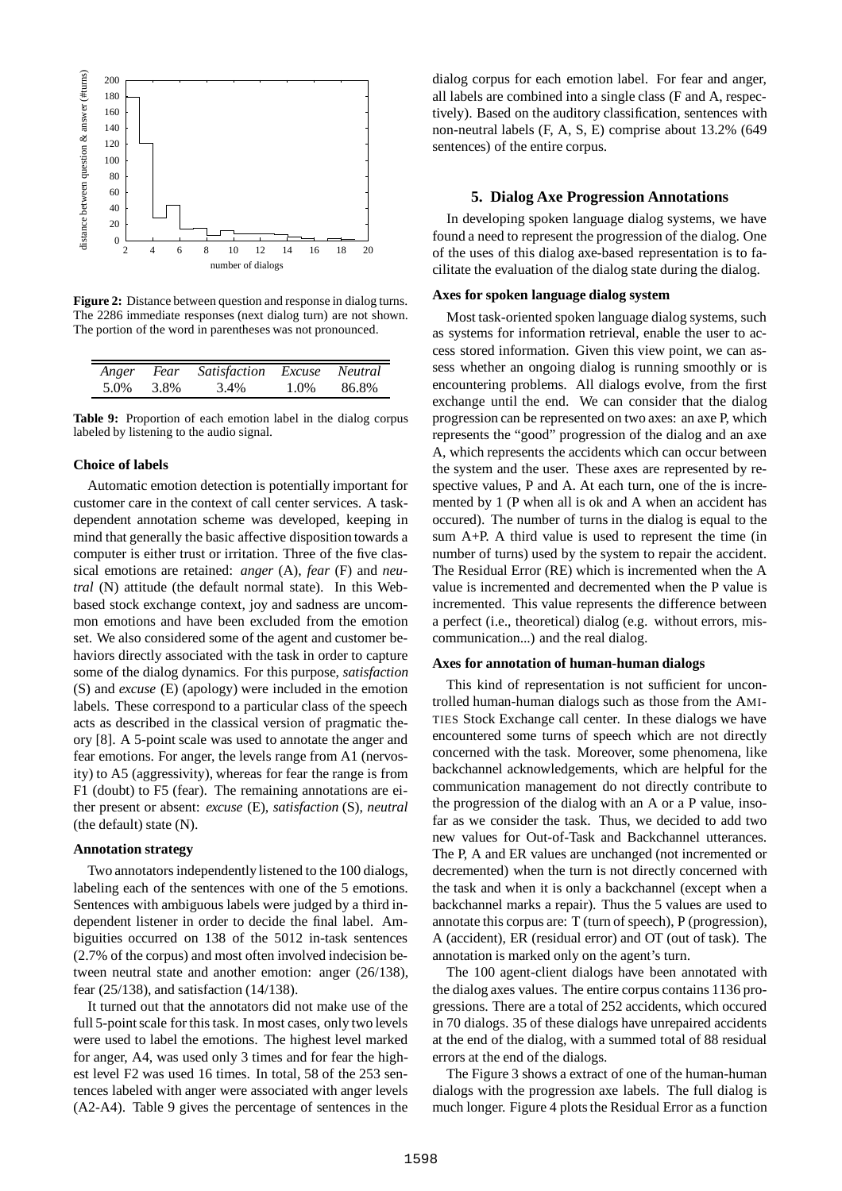

**Figure 2:** Distance between question and response in dialog turns. The 2286 immediate responses (next dialog turn) are not shown. The portion of the word in parentheses was not pronounced.

| Anger | Fear | <i>Satisfaction</i> | Excuse | Neutral |  |
|-------|------|---------------------|--------|---------|--|
| 5.0%  | 3.8% | 3.4%                | 1.0%   | 86.8%   |  |

**Table 9:** Proportion of each emotion label in the dialog corpus labeled by listening to the audio signal.

#### **Choice of labels**

ċ

Automatic emotion detection is potentially important for customer care in the context of call center services. A taskdependent annotation scheme was developed, keeping in mind that generally the basic affective disposition towards a computer is either trust or irritation. Three of the five classical emotions are retained: *anger* (A), *fear* (F) and *neutral* (N) attitude (the default normal state). In this Webbased stock exchange context, joy and sadness are uncommon emotions and have been excluded from the emotion set. We also considered some of the agent and customer behaviors directly associated with the task in order to capture some of the dialog dynamics. For this purpose, *satisfaction* (S) and *excuse* (E) (apology) were included in the emotion labels. These correspond to a particular class of the speech acts as described in the classical version of pragmatic theory [8]. A 5-point scale was used to annotate the anger and fear emotions. For anger, the levels range from A1 (nervosity) to A5 (aggressivity), whereas for fear the range is from F1 (doubt) to F5 (fear). The remaining annotations are either present or absent: *excuse* (E), *satisfaction* (S), *neutral* (the default) state (N).

## **Annotation strategy**

Two annotators independently listened to the 100 dialogs, labeling each of the sentences with one of the 5 emotions. Sentences with ambiguous labels were judged by a third independent listener in order to decide the final label. Ambiguities occurred on 138 of the 5012 in-task sentences (2.7% of the corpus) and most often involved indecision between neutral state and another emotion: anger (26/138), fear (25/138), and satisfaction (14/138).

It turned out that the annotators did not make use of the full 5-point scale for this task. In most cases, only two levels were used to label the emotions. The highest level marked for anger, A4, was used only 3 times and for fear the highest level F2 was used 16 times. In total, 58 of the 253 sentences labeled with anger were associated with anger levels (A2-A4). Table 9 gives the percentage of sentences in the

dialog corpus for each emotion label. For fear and anger, all labels are combined into a single class (F and A, respectively). Based on the auditory classification, sentences with non-neutral labels (F, A, S, E) comprise about 13.2% (649 sentences) of the entire corpus.

#### **5. Dialog Axe Progression Annotations**

In developing spoken language dialog systems, we have found a need to represent the progression of the dialog. One of the uses of this dialog axe-based representation is to facilitate the evaluation of the dialog state during the dialog.

#### **Axes for spoken language dialog system**

Most task-oriented spoken language dialog systems, such as systems for information retrieval, enable the user to access stored information. Given this view point, we can assess whether an ongoing dialog is running smoothly or is encountering problems. All dialogs evolve, from the first exchange until the end. We can consider that the dialog progression can be represented on two axes: an axe P, which represents the "good" progression of the dialog and an axe A, which represents the accidents which can occur between the system and the user. These axes are represented by respective values, P and A. At each turn, one of the is incremented by 1 (P when all is ok and A when an accident has occured). The number of turns in the dialog is equal to the sum A+P. A third value is used to represent the time (in number of turns) used by the system to repair the accident. The Residual Error (RE) which is incremented when the A value is incremented and decremented when the P value is incremented. This value represents the difference between a perfect (i.e., theoretical) dialog (e.g. without errors, miscommunication...) and the real dialog.

# **Axes for annotation of human-human dialogs**

This kind of representation is not sufficient for uncontrolled human-human dialogs such as those from the AMI-TIES Stock Exchange call center. In these dialogs we have encountered some turns of speech which are not directly concerned with the task. Moreover, some phenomena, like backchannel acknowledgements, which are helpful for the communication management do not directly contribute to the progression of the dialog with an A or a P value, insofar as we consider the task. Thus, we decided to add two new values for Out-of-Task and Backchannel utterances. The P, A and ER values are unchanged (not incremented or decremented) when the turn is not directly concerned with the task and when it is only a backchannel (except when a backchannel marks a repair). Thus the 5 values are used to annotate this corpus are: T (turn of speech), P (progression), A (accident), ER (residual error) and OT (out of task). The annotation is marked only on the agent's turn.

The 100 agent-client dialogs have been annotated with the dialog axes values. The entire corpus contains 1136 progressions. There are a total of 252 accidents, which occured in 70 dialogs. 35 of these dialogs have unrepaired accidents at the end of the dialog, with a summed total of 88 residual errors at the end of the dialogs.

The Figure 3 shows a extract of one of the human-human dialogs with the progression axe labels. The full dialog is much longer. Figure 4 plots the Residual Error as a function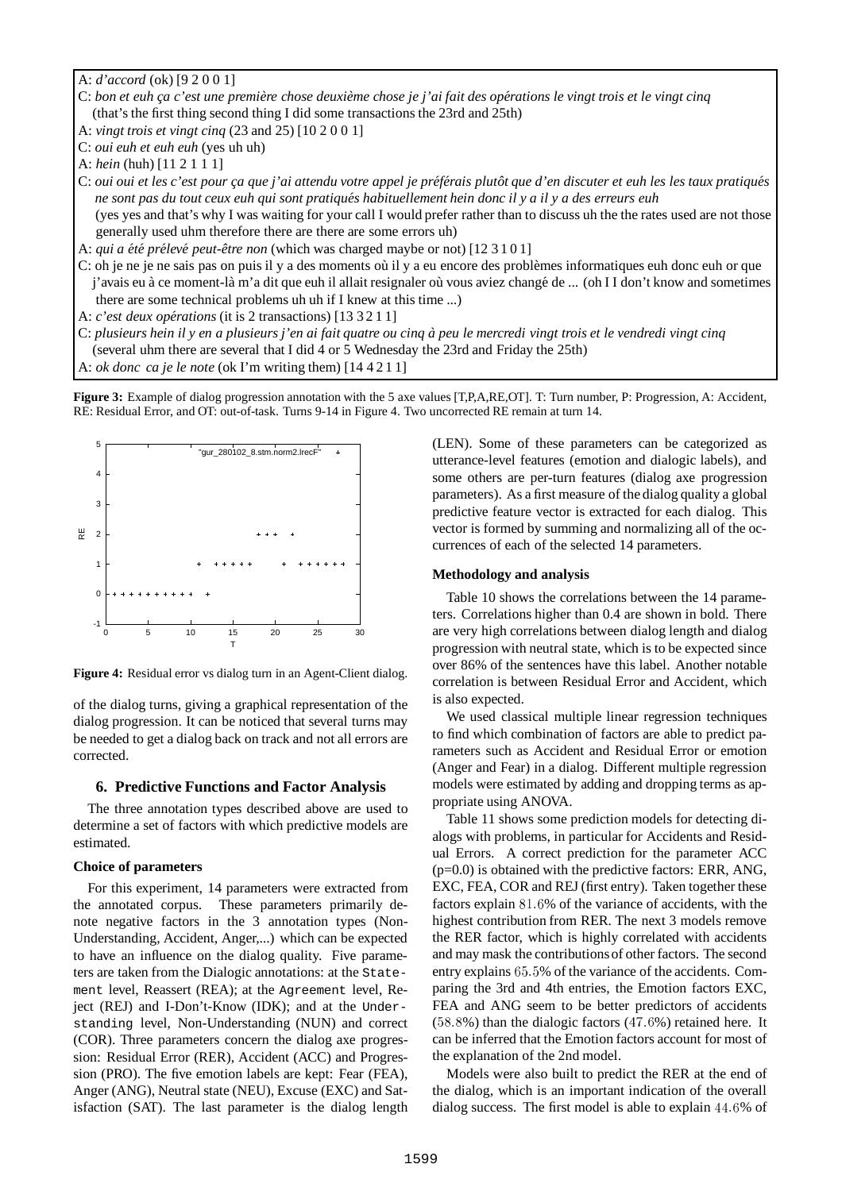A: *d'accord* (ok) [9 2 0 0 1]

- C: bon et euh ça c'est une première chose deuxième chose je j'ai fait des opérations le vingt trois et le vingt cinq (that's the first thing second thing I did some transactions the 23rd and 25th)
- A: *vingt trois et vingt cinq* (23 and 25) [10 2 0 0 1]
- C: *oui euh et euh euh* (yes uh uh)

A: *hein* (huh) [11 2 1 1 1]

C: oui oui et les c'est pour ça que j'ai attendu votre appel je préférais plutôt que d'en discuter et euh les les taux pratiqués ne sont pas du tout ceux euh qui sont pratiqués habituellement hein donc il y a il y a des erreurs euh (yes yes and that's why I was waiting for your call I would prefer rather than to discuss uh the the rates used are not those

generally used uhm therefore there are there are some errors uh)

A: *qui a été prélevé peut-être non* (which was charged maybe or not) [12 3 1 0 1]

C: oh je ne je ne sais pas on puis il y a des moments où il y a eu encore des problèmes informatiques euh donc euh or que j'avais eu à ce moment-là m'a dit que euh il allait resignaler où vous aviez changé de ... (oh I I don't know and sometimes there are some technical problems uh uh if I knew at this time ...)

- A: *c'est deux opérations* (it is 2 transactions) [13 3 2 1 1]
- C: plusieurs hein il y en a plusieurs j'en ai fait quatre ou cinq à peu le mercredi vingt trois et le vendredi vingt cinq
- (several uhm there are several that I did 4 or 5 Wednesday the 23rd and Friday the 25th)
- A: *ok donc ca je le note* (ok I'm writing them) [14 4 2 1 1]

**Figure 3:** Example of dialog progression annotation with the 5 axe values [T,P,A,RE,OT]. T: Turn number, P: Progression, A: Accident, RE: Residual Error, and OT: out-of-task. Turns 9-14 in Figure 4. Two uncorrected RE remain at turn 14.



**Figure 4:** Residual error vs dialog turn in an Agent-Client dialog.

of the dialog turns, giving a graphical representation of the dialog progression. It can be noticed that several turns may be needed to get a dialog back on track and not all errors are corrected.

# **6. Predictive Functions and Factor Analysis**

The three annotation types described above are used to determine a set of factors with which predictive models are estimated.

## **Choice of parameters**

For this experiment, 14 parameters were extracted from the annotated corpus. These parameters primarily denote negative factors in the 3 annotation types (Non-Understanding, Accident, Anger,...) which can be expected to have an influence on the dialog quality. Five parameters are taken from the Dialogic annotations: at the Statement level, Reassert (REA); at the Agreement level, Reject (REJ) and I-Don't-Know (IDK); and at the Understanding level, Non-Understanding (NUN) and correct (COR). Three parameters concern the dialog axe progression: Residual Error (RER), Accident (ACC) and Progression (PRO). The five emotion labels are kept: Fear (FEA), Anger (ANG), Neutral state (NEU), Excuse (EXC) and Satisfaction (SAT). The last parameter is the dialog length (LEN). Some of these parameters can be categorized as utterance-level features (emotion and dialogic labels), and some others are per-turn features (dialog axe progression parameters). As a first measure of the dialog quality a global predictive feature vector is extracted for each dialog. This vector is formed by summing and normalizing all of the occurrences of each of the selected 14 parameters.

## **Methodology and analysis**

Table 10 shows the correlations between the 14 parameters. Correlations higher than 0.4 are shown in bold. There are very high correlations between dialog length and dialog progression with neutral state, which is to be expected since over 86% of the sentences have this label. Another notable correlation is between Residual Error and Accident, which is also expected.

We used classical multiple linear regression techniques to find which combination of factors are able to predict parameters such as Accident and Residual Error or emotion (Anger and Fear) in a dialog. Different multiple regression models were estimated by adding and dropping terms as appropriate using ANOVA.

Table 11 shows some prediction models for detecting dialogs with problems, in particular for Accidents and Residual Errors. A correct prediction for the parameter ACC (p=0.0) is obtained with the predictive factors: ERR, ANG, EXC, FEA, COR and REJ (first entry). Taken together these factors explain  $81.6%$  of the variance of accidents, with the highest contribution from RER. The next 3 models remove the RER factor, which is highly correlated with accidents and may mask the contributionsof other factors. The second entry explains 65.5% of the variance of the accidents. Comparing the 3rd and 4th entries, the Emotion factors EXC, FEA and ANG seem to be better predictors of accidents  $(58.8\%)$  than the dialogic factors  $(47.6\%)$  retained here. It can be inferred that the Emotion factors account for most of the explanation of the 2nd model.

Models were also built to predict the RER at the end of the dialog, which is an important indication of the overall dialog success. The first model is able to explain 44.6% of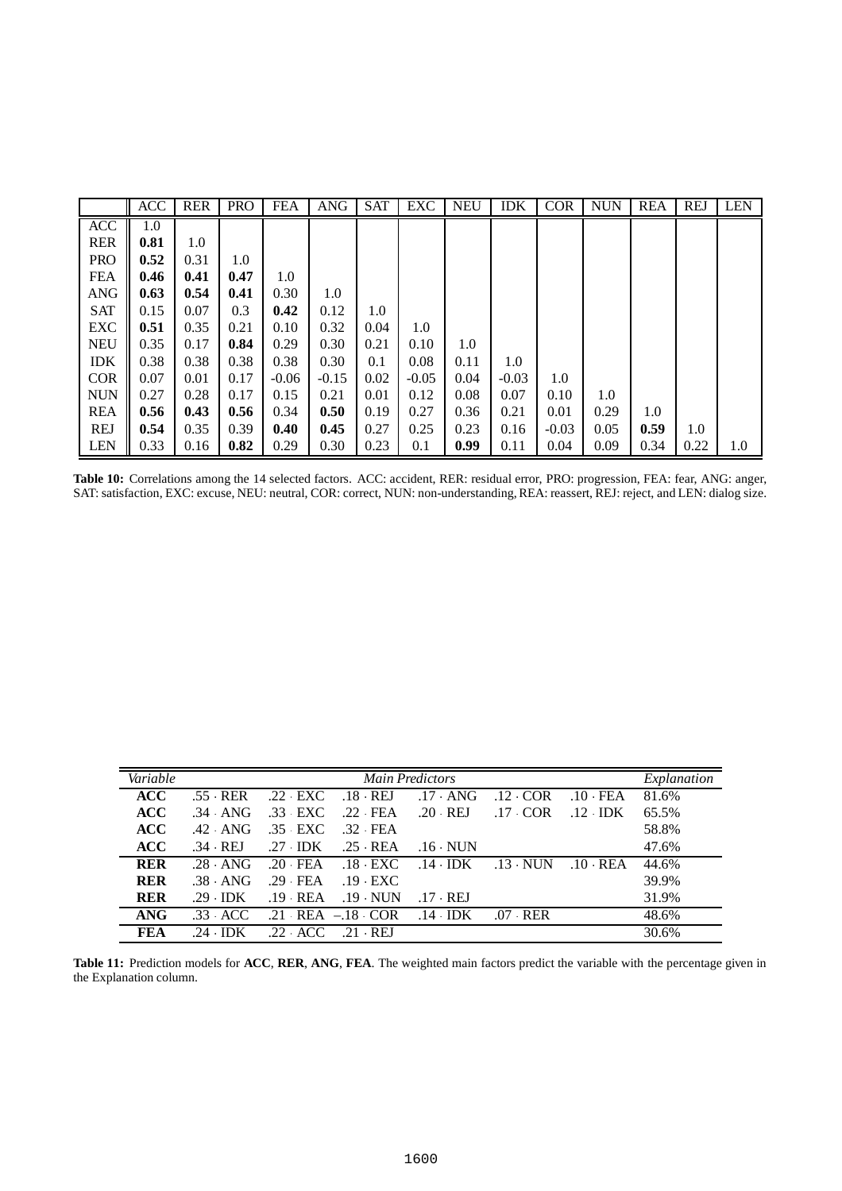|            | <b>ACC</b> | <b>RER</b> | <b>PRO</b> | <b>FEA</b> | <b>ANG</b> | <b>SAT</b> | EXC     | <b>NEU</b> | <b>IDK</b> | <b>COR</b> | <b>NUN</b> | <b>REA</b> | <b>REJ</b> | <b>LEN</b> |
|------------|------------|------------|------------|------------|------------|------------|---------|------------|------------|------------|------------|------------|------------|------------|
| <b>ACC</b> | 1.0        |            |            |            |            |            |         |            |            |            |            |            |            |            |
| <b>RER</b> | 0.81       | 1.0        |            |            |            |            |         |            |            |            |            |            |            |            |
| <b>PRO</b> | 0.52       | 0.31       | 1.0        |            |            |            |         |            |            |            |            |            |            |            |
| <b>FEA</b> | 0.46       | 0.41       | 0.47       | 1.0        |            |            |         |            |            |            |            |            |            |            |
| <b>ANG</b> | 0.63       | 0.54       | 0.41       | 0.30       | 1.0        |            |         |            |            |            |            |            |            |            |
| <b>SAT</b> | 0.15       | 0.07       | 0.3        | 0.42       | 0.12       | 1.0        |         |            |            |            |            |            |            |            |
| <b>EXC</b> | 0.51       | 0.35       | 0.21       | 0.10       | 0.32       | 0.04       | 1.0     |            |            |            |            |            |            |            |
| <b>NEU</b> | 0.35       | 0.17       | 0.84       | 0.29       | 0.30       | 0.21       | 0.10    | 1.0        |            |            |            |            |            |            |
| <b>IDK</b> | 0.38       | 0.38       | 0.38       | 0.38       | 0.30       | 0.1        | 0.08    | 0.11       | 1.0        |            |            |            |            |            |
| <b>COR</b> | 0.07       | 0.01       | 0.17       | $-0.06$    | $-0.15$    | 0.02       | $-0.05$ | 0.04       | $-0.03$    | 1.0        |            |            |            |            |
| <b>NUN</b> | 0.27       | 0.28       | 0.17       | 0.15       | 0.21       | 0.01       | 0.12    | 0.08       | 0.07       | 0.10       | 1.0        |            |            |            |
| <b>REA</b> | 0.56       | 0.43       | 0.56       | 0.34       | 0.50       | 0.19       | 0.27    | 0.36       | 0.21       | 0.01       | 0.29       | 1.0        |            |            |
| <b>REJ</b> | 0.54       | 0.35       | 0.39       | 0.40       | 0.45       | 0.27       | 0.25    | 0.23       | 0.16       | $-0.03$    | 0.05       | 0.59       | 1.0        |            |
| <b>LEN</b> | 0.33       | 0.16       | 0.82       | 0.29       | 0.30       | 0.23       | 0.1     | 0.99       | 0.11       | 0.04       | 0.09       | 0.34       | 0.22       | 1.0        |

**Table 10:** Correlations among the 14 selected factors. ACC: accident, RER: residual error, PRO: progression, FEA: fear, ANG: anger, SAT: satisfaction, EXC: excuse, NEU: neutral, COR: correct, NUN: non-understanding,REA: reassert, REJ: reject, and LEN: dialog size.

| Variable   |           |           |                      | <b>Main Predictors</b> |           |                 | Explanation |
|------------|-----------|-----------|----------------------|------------------------|-----------|-----------------|-------------|
| <b>ACC</b> | .55 RER   | .22 EXC   | $.18$ REJ            | $.17$ ANG              | $.12$ COR | $.10$ FEA       | 81.6%       |
| <b>ACC</b> | $.34$ ANG | .33 EXC   | .22 FEA              | $.20$ REJ              | $.17$ COR | $.12 \cdot$ IDK | 65.5%       |
| <b>ACC</b> | $.42$ ANG | .35 EXC   | $.32$ FEA            |                        |           |                 | 58.8%       |
| <b>ACC</b> | .34 REJ   | $.27$ IDK | $.25$ REA            | $.16$ NUN              |           |                 | 47.6%       |
| <b>RER</b> | $.28$ ANG | $.20$ FEA | $.18$ $\cdot$ EXC    | $.14$ IDK              | $.13$ NUN | $.10$ REA       | 44.6%       |
| <b>RER</b> | $.38$ ANG | $.29$ FEA | $.19$ EXC            |                        |           |                 | 39.9%       |
| <b>RER</b> | $.29$ IDK | $.19$ REA | $.19$ NUN            | .17 REJ                |           |                 | 31.9%       |
| ANG        | $.33$ ACC |           | $.21$ REA $-.18$ COR | $.14$ IDK              | .07 RER   |                 | 48.6%       |
| FEA        | $.24$ IDK | .22 ACC   | $.21$ REI            |                        |           |                 | 30.6%       |

**Table 11:** Prediction models for **ACC**, **RER**, **ANG**, **FEA**. The weighted main factors predict the variable with the percentage given in the Explanation column.